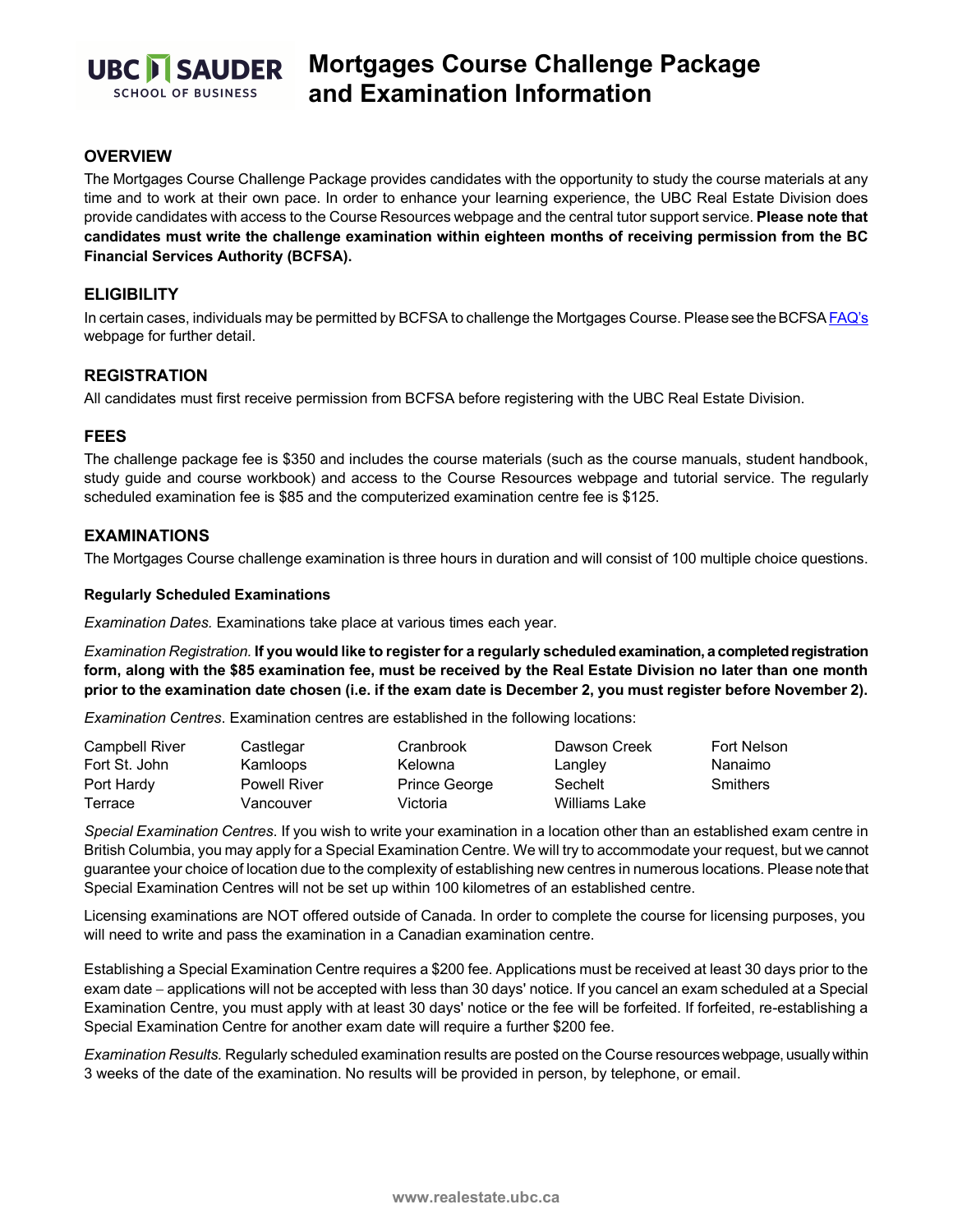

# **Mortgages Course Challenge Package and Examination Information**

## **OVERVIEW**

The Mortgages Course Challenge Package provides candidates with the opportunity to study the course materials at any time and to work at their own pace. In order to enhance your learning experience, the UBC Real Estate Division does provide candidates with access to the Course Resources webpage and the central tutor support service. **Please note that candidates must write the challenge examination within eighteen months of receiving permission from the BC Financial Services Authority (BCFSA).**

## **ELIGIBILITY**

In certain cases, individuals may be permitted by BCFSA to challenge the Mortgages Course. Please see the BCFS[A FAQ's](https://www.bcfsa.ca/industry-resources/mortgage-broker-resources/mortgage-broker-frequently-asked-questions) webpage for further detail.

# **REGISTRATION**

All candidates must first receive permission from BCFSA before registering with the UBC Real Estate Division.

#### **FEES**

The challenge package fee is \$350 and includes the course materials (such as the course manuals, student handbook, study guide and course workbook) and access to the Course Resources webpage and tutorial service. The regularly scheduled examination fee is \$85 and the computerized examination centre fee is \$125.

#### **EXAMINATIONS**

The Mortgages Course challenge examination is three hours in duration and will consist of 100 multiple choice questions.

#### **Regularly Scheduled Examinations**

*Examination Dates.* Examinations take place at various times each year.

*Examination Registration.* **If you would like to register for a regularly scheduled examination, a completed registration form, along with the \$85 examination fee, must be received by the Real Estate Division no later than one month prior to the examination date chosen (i.e. if the exam date is December 2, you must register before November 2).**

*Examination Centres*. Examination centres are established in the following locations:

| Campbell River | Castlegar           | Cranbrook     | Dawson Creek  | Fort Nelson     |
|----------------|---------------------|---------------|---------------|-----------------|
| Fort St. John  | Kamloops            | Kelowna       | Langley       | Nanaimo         |
| Port Hardy     | <b>Powell River</b> | Prince George | Sechelt       | <b>Smithers</b> |
| Terrace        | Vancouver           | Victoria      | Williams Lake |                 |

*Special Examination Centres*. If you wish to write your examination in a location other than an established exam centre in British Columbia, you may apply for a Special Examination Centre. We will try to accommodate your request, but we cannot guarantee your choice of location due to the complexity of establishing new centres in numerous locations. Please note that Special Examination Centres will not be set up within 100 kilometres of an established centre.

Licensing examinations are NOT offered outside of Canada. In order to complete the course for licensing purposes, you will need to write and pass the examination in a Canadian examination centre.

Establishing a Special Examination Centre requires a \$200 fee. Applications must be received at least 30 days prior to the exam date − applications will not be accepted with less than 30 days' notice. If you cancel an exam scheduled at a Special Examination Centre, you must apply with at least 30 days' notice or the fee will be forfeited. If forfeited, re-establishing a Special Examination Centre for another exam date will require a further \$200 fee.

*Examination Results.* Regularly scheduled examination results are posted on the Course resources webpage, usually within 3 weeks of the date of the examination. No results will be provided in person, by telephone, or email.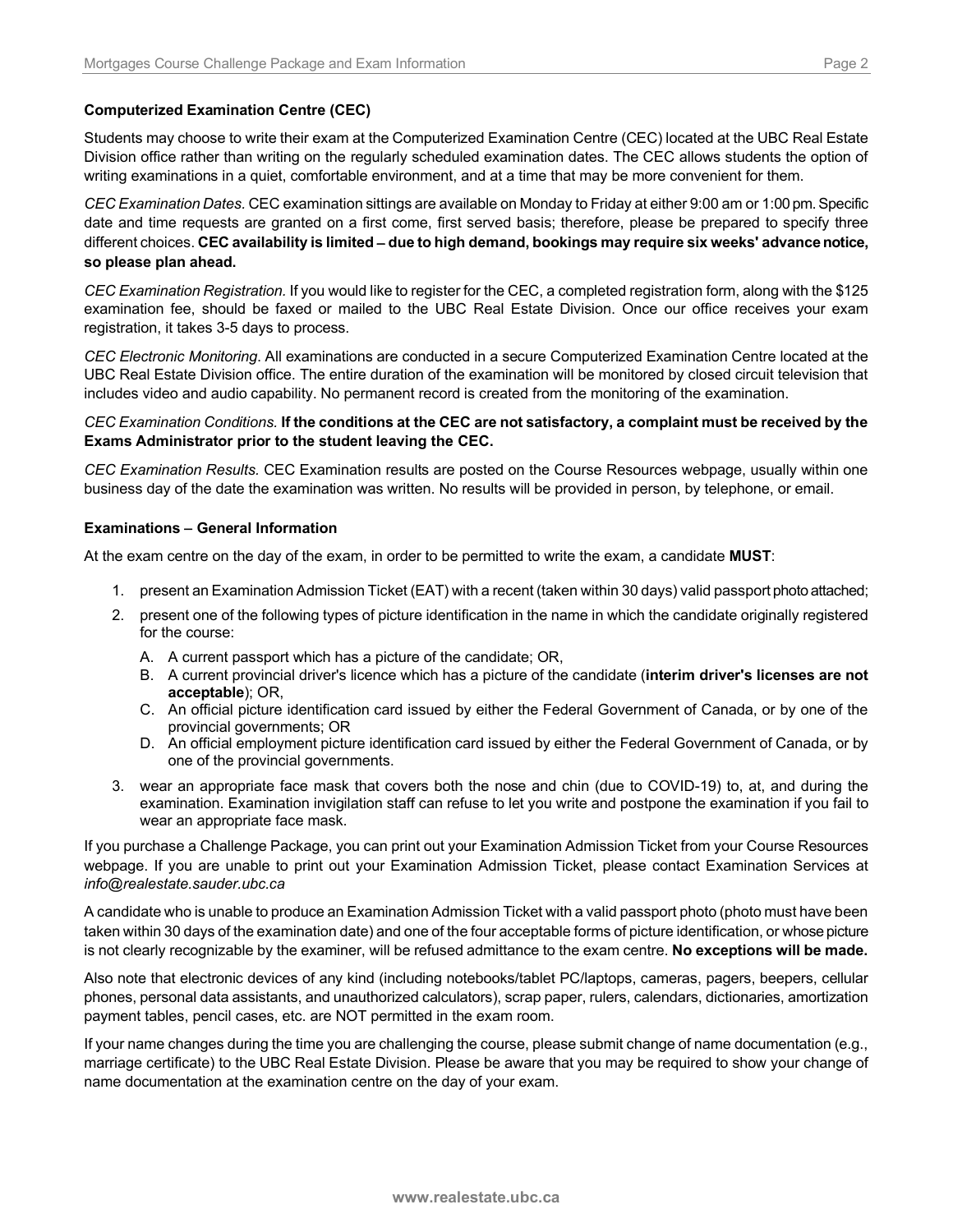## **Computerized Examination Centre (CEC)**

Students may choose to write their exam at the Computerized Examination Centre (CEC) located at the UBC Real Estate Division office rather than writing on the regularly scheduled examination dates. The CEC allows students the option of writing examinations in a quiet, comfortable environment, and at a time that may be more convenient for them.

*CEC Examination Dates.* CEC examination sittings are available on Monday to Friday at either 9:00 am or 1:00 pm.Specific date and time requests are granted on a first come, first served basis; therefore, please be prepared to specify three different choices. **CEC availability is limited** − **due to high demand, bookings may require six weeks' advance notice, so please plan ahead.**

*CEC Examination Registration.* If you would like to register for the CEC, a completed registration form, along with the \$125 examination fee, should be faxed or mailed to the UBC Real Estate Division. Once our office receives your exam registration, it takes 3-5 days to process.

*CEC Electronic Monitoring*. All examinations are conducted in a secure Computerized Examination Centre located at the UBC Real Estate Division office. The entire duration of the examination will be monitored by closed circuit television that includes video and audio capability. No permanent record is created from the monitoring of the examination.

## *CEC Examination Conditions.* **If the conditions at the CEC are not satisfactory, a complaint must be received by the Exams Administrator prior to the student leaving the CEC.**

*CEC Examination Results.* CEC Examination results are posted on the Course Resources webpage, usually within one business day of the date the examination was written. No results will be provided in person, by telephone, or email.

#### **Examinations** − **General Information**

At the exam centre on the day of the exam, in order to be permitted to write the exam, a candidate **MUST**:

- 1. present an Examination Admission Ticket (EAT) with a recent (taken within 30 days) valid passport photo attached;
- 2. present one of the following types of picture identification in the name in which the candidate originally registered for the course:
	- A. A current passport which has a picture of the candidate; OR,
	- B. A current provincial driver's licence which has a picture of the candidate (**interim driver's licenses are not acceptable**); OR,
	- C. An official picture identification card issued by either the Federal Government of Canada, or by one of the provincial governments; OR
	- D. An official employment picture identification card issued by either the Federal Government of Canada, or by one of the provincial governments.
- 3. wear an appropriate face mask that covers both the nose and chin (due to COVID-19) to, at, and during the examination. Examination invigilation staff can refuse to let you write and postpone the examination if you fail to wear an appropriate face mask.

If you purchase a Challenge Package, you can print out your Examination Admission Ticket from your Course Resources webpage. If you are unable to print out your Examination Admission Ticket, please contact Examination Services at *info@realestate.sauder.ubc.ca*

A candidate who is unable to produce an Examination Admission Ticket with a valid passport photo (photo must have been taken within 30 days of the examination date) and one of the four acceptable forms of picture identification, or whose picture is not clearly recognizable by the examiner, will be refused admittance to the exam centre. **No exceptions will be made.**

Also note that electronic devices of any kind (including notebooks/tablet PC/laptops, cameras, pagers, beepers, cellular phones, personal data assistants, and unauthorized calculators), scrap paper, rulers, calendars, dictionaries, amortization payment tables, pencil cases, etc. are NOT permitted in the exam room.

If your name changes during the time you are challenging the course, please submit change of name documentation (e.g., marriage certificate) to the UBC Real Estate Division. Please be aware that you may be required to show your change of name documentation at the examination centre on the day of your exam.